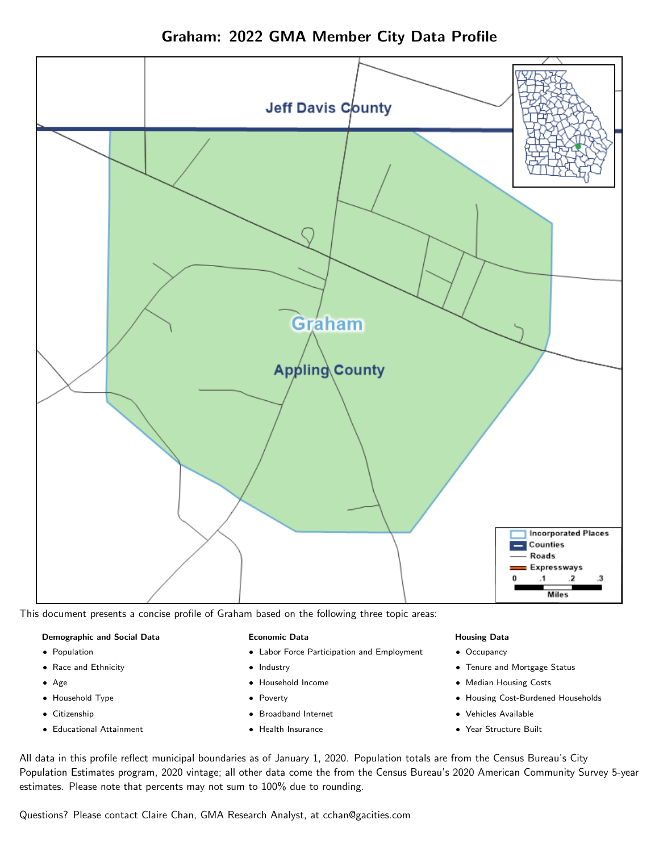Graham: 2022 GMA Member City Data Profile



This document presents a concise profile of Graham based on the following three topic areas:

#### Demographic and Social Data

- **•** Population
- Race and Ethnicity
- Age
- Household Type
- **Citizenship**
- Educational Attainment

#### Economic Data

- Labor Force Participation and Employment
- Industry
- Household Income
- Poverty
- Broadband Internet
- Health Insurance

#### Housing Data

- Occupancy
- Tenure and Mortgage Status
- Median Housing Costs
- Housing Cost-Burdened Households
- Vehicles Available
- Year Structure Built

All data in this profile reflect municipal boundaries as of January 1, 2020. Population totals are from the Census Bureau's City Population Estimates program, 2020 vintage; all other data come the from the Census Bureau's 2020 American Community Survey 5-year estimates. Please note that percents may not sum to 100% due to rounding.

Questions? Please contact Claire Chan, GMA Research Analyst, at [cchan@gacities.com.](mailto:cchan@gacities.com)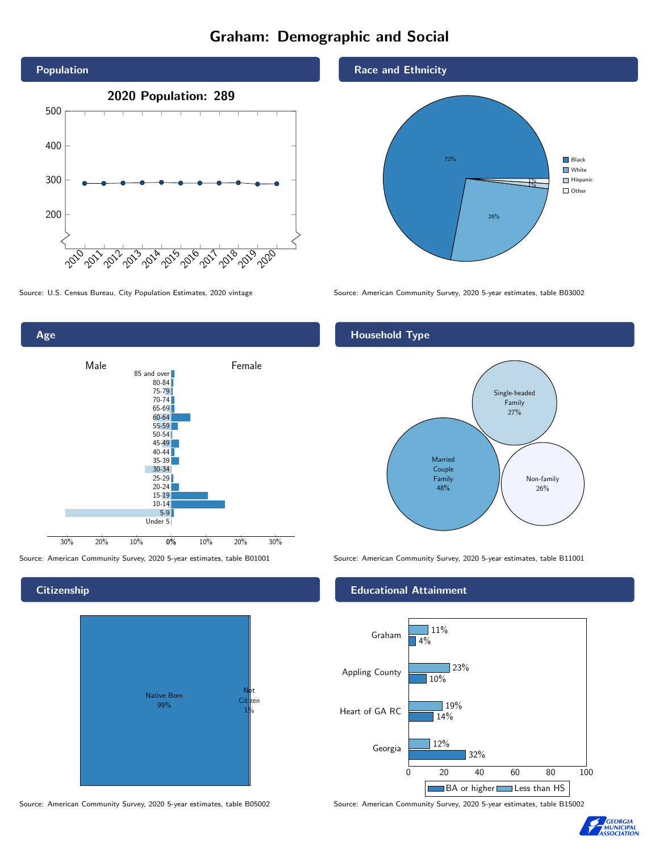# Graham: Demographic and Social





# **Citizenship**



Source: American Community Survey, 2020 5-year estimates, table B05002 Source: American Community Survey, 2020 5-year estimates, table B15002

Race and Ethnicity



Source: U.S. Census Bureau, City Population Estimates, 2020 vintage Source: American Community Survey, 2020 5-year estimates, table B03002

# Household Type



Source: American Community Survey, 2020 5-year estimates, table B01001 Source: American Community Survey, 2020 5-year estimates, table B11001

### Educational Attainment



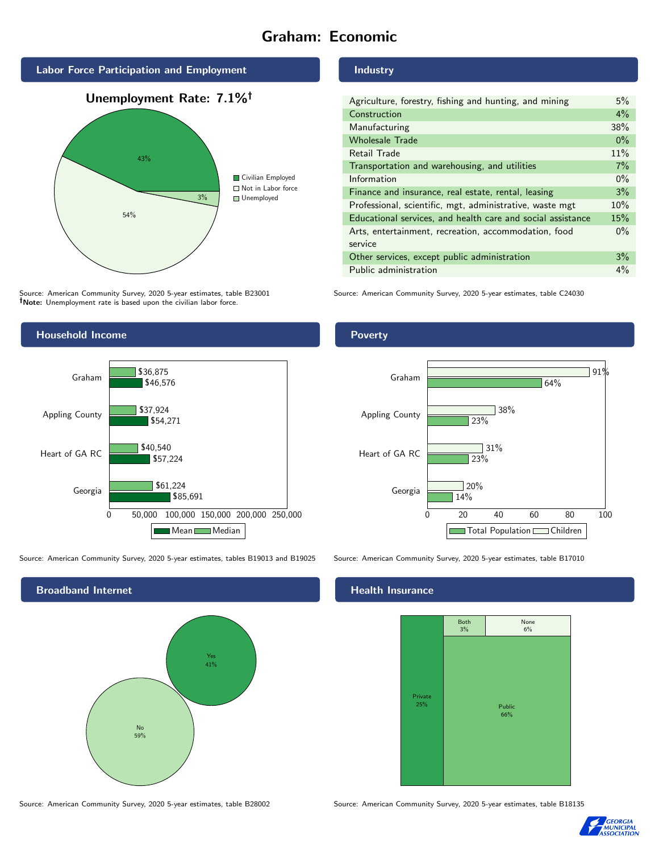# Graham: Economic



Source: American Community Survey, 2020 5-year estimates, table B23001 Note: Unemployment rate is based upon the civilian labor force.

# Industry

| Agriculture, forestry, fishing and hunting, and mining      | 5%    |
|-------------------------------------------------------------|-------|
| Construction                                                | $4\%$ |
| Manufacturing                                               | 38%   |
| <b>Wholesale Trade</b>                                      | $0\%$ |
| Retail Trade                                                | 11%   |
| Transportation and warehousing, and utilities               | 7%    |
| Information                                                 | $0\%$ |
| Finance and insurance, real estate, rental, leasing         | 3%    |
| Professional, scientific, mgt, administrative, waste mgt    | 10%   |
| Educational services, and health care and social assistance | 15%   |
| Arts, entertainment, recreation, accommodation, food        | $0\%$ |
| service                                                     |       |
| Other services, except public administration                | 3%    |
| Public administration                                       | 4%    |

Source: American Community Survey, 2020 5-year estimates, table C24030



Source: American Community Survey, 2020 5-year estimates, tables B19013 and B19025 Source: American Community Survey, 2020 5-year estimates, table B17010



## Health Insurance

|                | Both<br>3% | None<br>$6\%$ |  |
|----------------|------------|---------------|--|
|                |            |               |  |
|                |            |               |  |
| Private<br>25% |            | Public<br>66% |  |
|                |            |               |  |
|                |            |               |  |

Source: American Community Survey, 2020 5-year estimates, table B28002 Source: American Community Survey, 2020 5-year estimates, table B18135



### Poverty